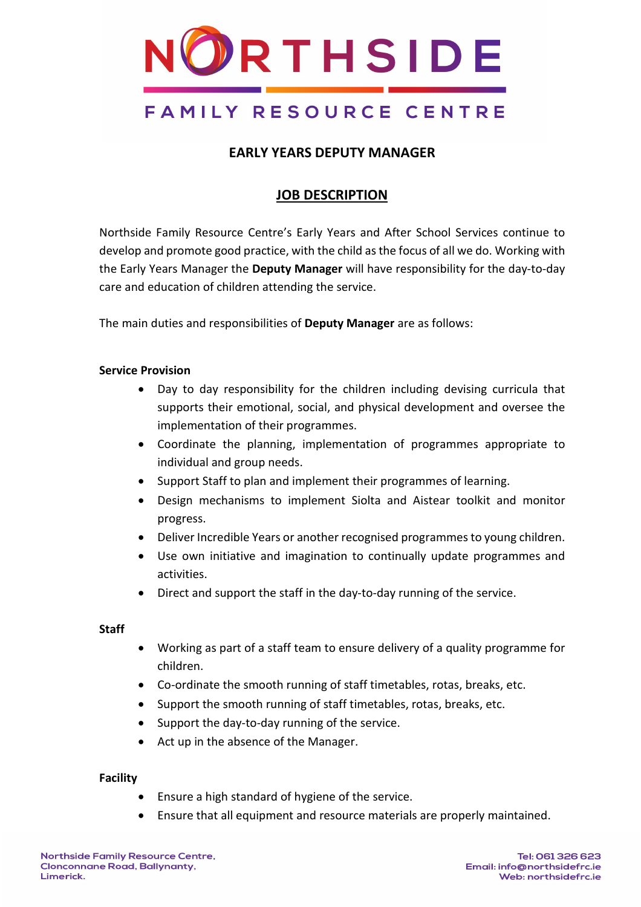

### **EARLY YEARS DEPUTY MANAGER**

### **JOB DESCRIPTION**

Northside Family Resource Centre's Early Years and After School Services continue to develop and promote good practice, with the child as the focus of all we do. Working with the Early Years Manager the **Deputy Manager** will have responsibility for the day-to-day care and education of children attending the service.

The main duties and responsibilities of **Deputy Manager** are as follows:

### **Service Provision**

- Day to day responsibility for the children including devising curricula that supports their emotional, social, and physical development and oversee the implementation of their programmes.
- Coordinate the planning, implementation of programmes appropriate to individual and group needs.
- Support Staff to plan and implement their programmes of learning.
- Design mechanisms to implement Siolta and Aistear toolkit and monitor progress.
- Deliver Incredible Years or another recognised programmes to young children.
- Use own initiative and imagination to continually update programmes and activities.
- Direct and support the staff in the day-to-day running of the service.

### **Staff**

- Working as part of a staff team to ensure delivery of a quality programme for children.
- Co-ordinate the smooth running of staff timetables, rotas, breaks, etc.
- Support the smooth running of staff timetables, rotas, breaks, etc.
- Support the day-to-day running of the service.
- Act up in the absence of the Manager.

### **Facility**

- Ensure a high standard of hygiene of the service.
- Ensure that all equipment and resource materials are properly maintained.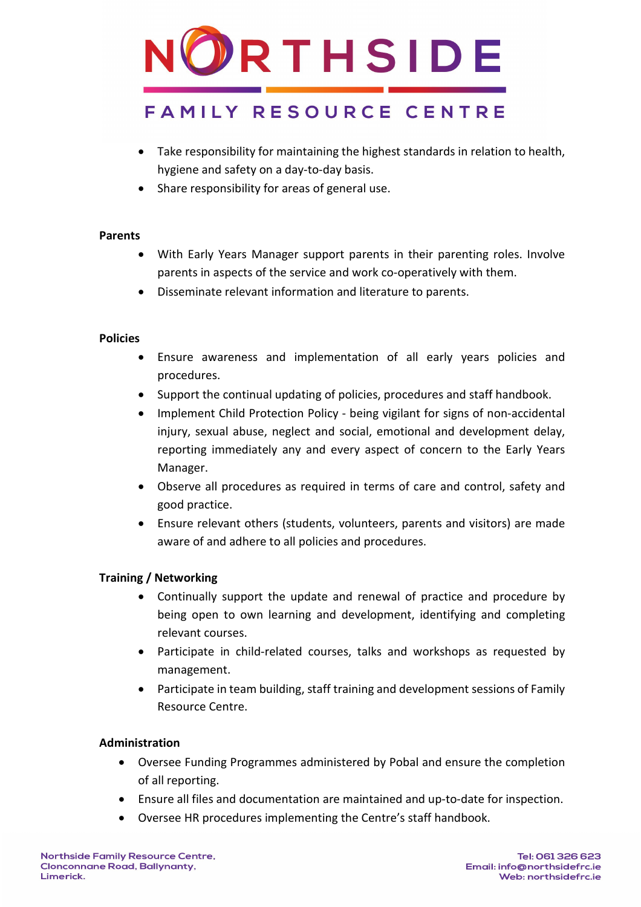

- Take responsibility for maintaining the highest standards in relation to health, hygiene and safety on a day-to-day basis.
- Share responsibility for areas of general use.

### **Parents**

- With Early Years Manager support parents in their parenting roles. Involve parents in aspects of the service and work co-operatively with them.
- Disseminate relevant information and literature to parents.

### **Policies**

- Ensure awareness and implementation of all early years policies and procedures.
- Support the continual updating of policies, procedures and staff handbook.
- Implement Child Protection Policy being vigilant for signs of non-accidental injury, sexual abuse, neglect and social, emotional and development delay, reporting immediately any and every aspect of concern to the Early Years Manager.
- Observe all procedures as required in terms of care and control, safety and good practice.
- Ensure relevant others (students, volunteers, parents and visitors) are made aware of and adhere to all policies and procedures.

### **Training / Networking**

- Continually support the update and renewal of practice and procedure by being open to own learning and development, identifying and completing relevant courses.
- Participate in child-related courses, talks and workshops as requested by management.
- Participate in team building, staff training and development sessions of Family Resource Centre.

### **Administration**

- Oversee Funding Programmes administered by Pobal and ensure the completion of all reporting.
- Ensure all files and documentation are maintained and up-to-date for inspection.
- Oversee HR procedures implementing the Centre's staff handbook.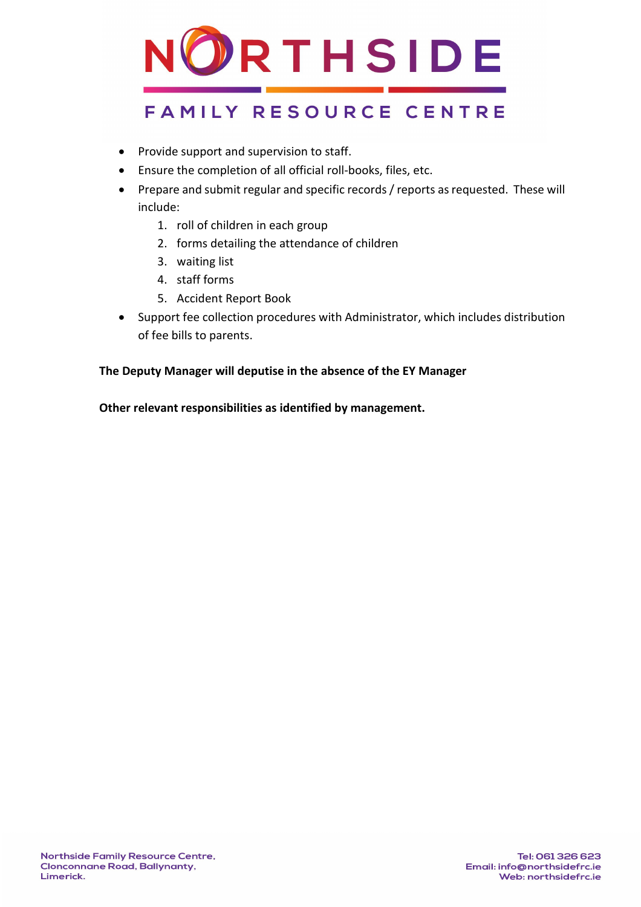

- Provide support and supervision to staff.
- Ensure the completion of all official roll-books, files, etc.
- Prepare and submit regular and specific records / reports as requested. These will include:
	- 1. roll of children in each group
	- 2. forms detailing the attendance of children
	- 3. waiting list
	- 4. staff forms
	- 5. Accident Report Book
- Support fee collection procedures with Administrator, which includes distribution of fee bills to parents.

### **The Deputy Manager will deputise in the absence of the EY Manager**

**Other relevant responsibilities as identified by management.**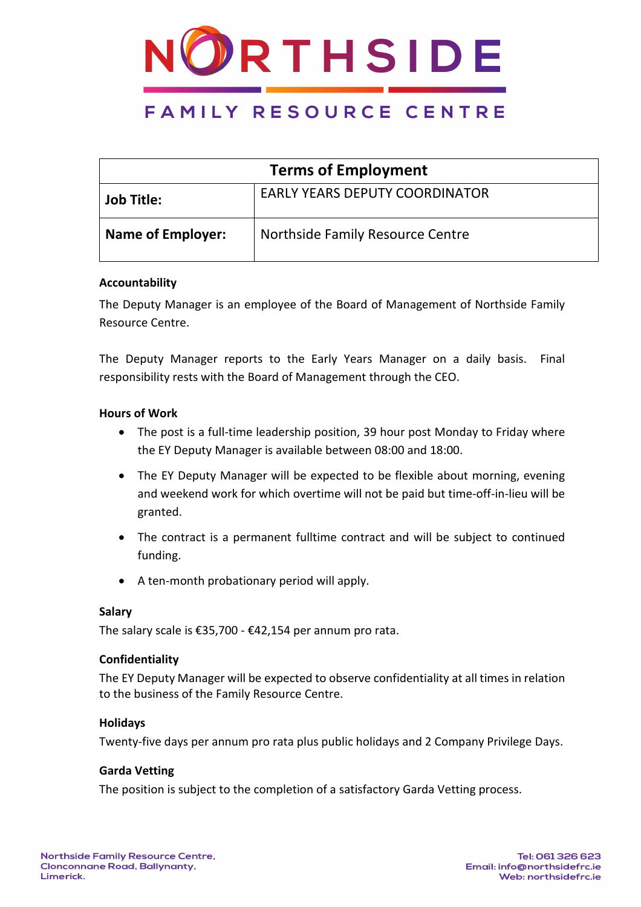

| <b>Terms of Employment</b> |                                       |  |
|----------------------------|---------------------------------------|--|
| <b>Job Title:</b>          | <b>EARLY YEARS DEPUTY COORDINATOR</b> |  |
| <b>Name of Employer:</b>   | Northside Family Resource Centre      |  |

### **Accountability**

The Deputy Manager is an employee of the Board of Management of Northside Family Resource Centre.

The Deputy Manager reports to the Early Years Manager on a daily basis. Final responsibility rests with the Board of Management through the CEO.

### **Hours of Work**

- The post is a full-time leadership position, 39 hour post Monday to Friday where the EY Deputy Manager is available between 08:00 and 18:00.
- The EY Deputy Manager will be expected to be flexible about morning, evening and weekend work for which overtime will not be paid but time-off-in-lieu will be granted.
- The contract is a permanent fulltime contract and will be subject to continued funding.
- A ten-month probationary period will apply.

### **Salary**

The salary scale is €35,700 - €42,154 per annum pro rata.

### **Confidentiality**

The EY Deputy Manager will be expected to observe confidentiality at all times in relation to the business of the Family Resource Centre.

### **Holidays**

Twenty-five days per annum pro rata plus public holidays and 2 Company Privilege Days.

### **Garda Vetting**

The position is subject to the completion of a satisfactory Garda Vetting process.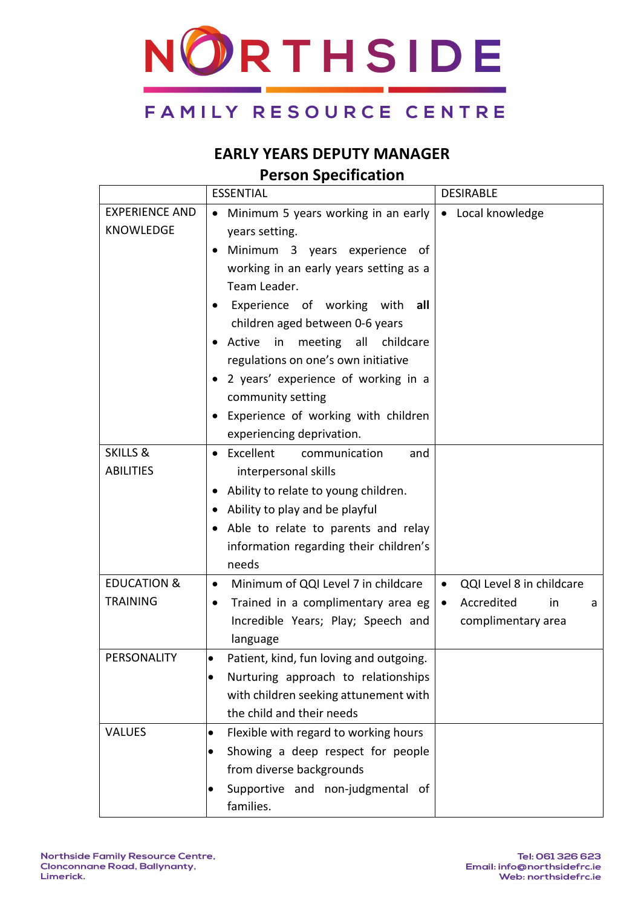

### **EARLY YEARS DEPUTY MANAGER Person Specification**

|                                           | <b>ESSENTIAL</b>                                                                                                                                                                                                                                                                                                                                                                                                                                                                             | <b>DESIRABLE</b>                                                                                  |
|-------------------------------------------|----------------------------------------------------------------------------------------------------------------------------------------------------------------------------------------------------------------------------------------------------------------------------------------------------------------------------------------------------------------------------------------------------------------------------------------------------------------------------------------------|---------------------------------------------------------------------------------------------------|
| <b>EXPERIENCE AND</b><br><b>KNOWLEDGE</b> | Minimum 5 years working in an early<br>$\bullet$<br>years setting.<br>Minimum 3 years experience<br>of.<br>working in an early years setting as a<br>Team Leader.<br>Experience of working with<br>all<br>children aged between 0-6 years<br>Active<br>meeting<br>all<br>childcare<br>$\mathsf{in}$<br>٠<br>regulations on one's own initiative<br>2 years' experience of working in a<br>community setting<br>Experience of working with children<br>$\bullet$<br>experiencing deprivation. | • Local knowledge                                                                                 |
| <b>SKILLS &amp;</b><br><b>ABILITIES</b>   | Excellent<br>communication<br>and<br>$\bullet$<br>interpersonal skills<br>Ability to relate to young children.<br>Ability to play and be playful<br>Able to relate to parents and relay<br>information regarding their children's<br>needs                                                                                                                                                                                                                                                   |                                                                                                   |
| <b>EDUCATION &amp;</b><br><b>TRAINING</b> | Minimum of QQI Level 7 in childcare<br>$\bullet$<br>Trained in a complimentary area eg<br>$\bullet$<br>Incredible Years; Play; Speech and<br>language                                                                                                                                                                                                                                                                                                                                        | QQI Level 8 in childcare<br>$\bullet$<br>Accredited<br>in<br>$\bullet$<br>a<br>complimentary area |
| PERSONALITY                               | Patient, kind, fun loving and outgoing.<br>$\bullet$<br>Nurturing approach to relationships<br>$\bullet$<br>with children seeking attunement with<br>the child and their needs                                                                                                                                                                                                                                                                                                               |                                                                                                   |
| <b>VALUES</b>                             | Flexible with regard to working hours<br>$\bullet$<br>Showing a deep respect for people<br>$\bullet$<br>from diverse backgrounds<br>Supportive and non-judgmental of<br>families.                                                                                                                                                                                                                                                                                                            |                                                                                                   |